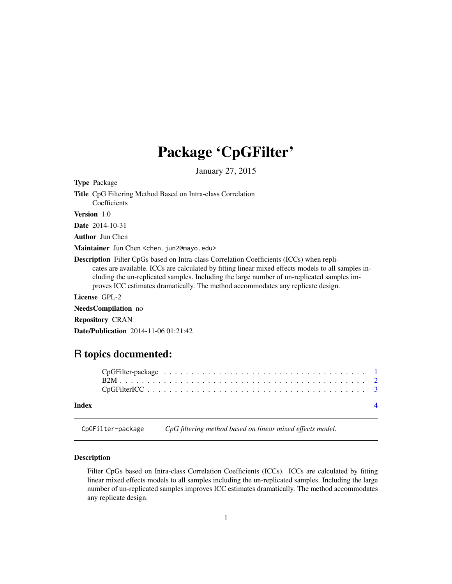## <span id="page-0-0"></span>Package 'CpGFilter'

January 27, 2015

| <b>Type Package</b>                                                                                                                                                                                                                                                                                                                                                                     |
|-----------------------------------------------------------------------------------------------------------------------------------------------------------------------------------------------------------------------------------------------------------------------------------------------------------------------------------------------------------------------------------------|
| <b>Title</b> CpG Filtering Method Based on Intra-class Correlation<br>Coefficients                                                                                                                                                                                                                                                                                                      |
| <b>Version</b> 1.0                                                                                                                                                                                                                                                                                                                                                                      |
| <b>Date</b> 2014-10-31                                                                                                                                                                                                                                                                                                                                                                  |
| <b>Author</b> Jun Chen                                                                                                                                                                                                                                                                                                                                                                  |
| Maintainer Jun Chen < chen. jun2@mayo.edu>                                                                                                                                                                                                                                                                                                                                              |
| <b>Description</b> Filter CpGs based on Intra-class Correlation Coefficients (ICCs) when repli-<br>cates are available. ICCs are calculated by fitting linear mixed effects models to all samples in-<br>cluding the un-replicated samples. Including the large number of un-replicated samples im-<br>proves ICC estimates dramatically. The method accommodates any replicate design. |
| License GPL-2                                                                                                                                                                                                                                                                                                                                                                           |
| NeedsCompilation no                                                                                                                                                                                                                                                                                                                                                                     |
| <b>Repository CRAN</b>                                                                                                                                                                                                                                                                                                                                                                  |
|                                                                                                                                                                                                                                                                                                                                                                                         |

### R topics documented:

Date/Publication 2014-11-06 01:21:42

| Index |  |  |  |  |  |  |  |  |  |  |  |  |  |  |  |  |  |  |
|-------|--|--|--|--|--|--|--|--|--|--|--|--|--|--|--|--|--|--|
|       |  |  |  |  |  |  |  |  |  |  |  |  |  |  |  |  |  |  |

CpGFilter-package *CpG filtering method based on linear mixed effects model.*

#### Description

Filter CpGs based on Intra-class Correlation Coefficients (ICCs). ICCs are calculated by fitting linear mixed effects models to all samples including the un-replicated samples. Including the large number of un-replicated samples improves ICC estimates dramatically. The method accommodates any replicate design.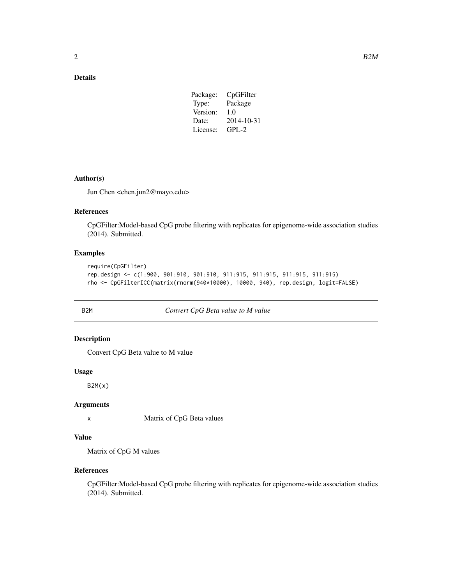#### <span id="page-1-0"></span>Details

| Package: | CpGFilter  |
|----------|------------|
| Type:    | Package    |
| Version: | 1.0        |
| Date:    | 2014-10-31 |
| License: | $GPL-2$    |

#### Author(s)

Jun Chen <chen.jun2@mayo.edu>

#### References

CpGFilter:Model-based CpG probe filtering with replicates for epigenome-wide association studies (2014). Submitted.

#### Examples

```
require(CpGFilter)
rep.design <- c(1:900, 901:910, 901:910, 911:915, 911:915, 911:915, 911:915)
rho <- CpGFilterICC(matrix(rnorm(940*10000), 10000, 940), rep.design, logit=FALSE)
```
#### B2M *Convert CpG Beta value to M value*

#### Description

Convert CpG Beta value to M value

#### Usage

 $B2M(x)$ 

#### Arguments

x Matrix of CpG Beta values

#### Value

Matrix of CpG M values

#### References

CpGFilter:Model-based CpG probe filtering with replicates for epigenome-wide association studies (2014). Submitted.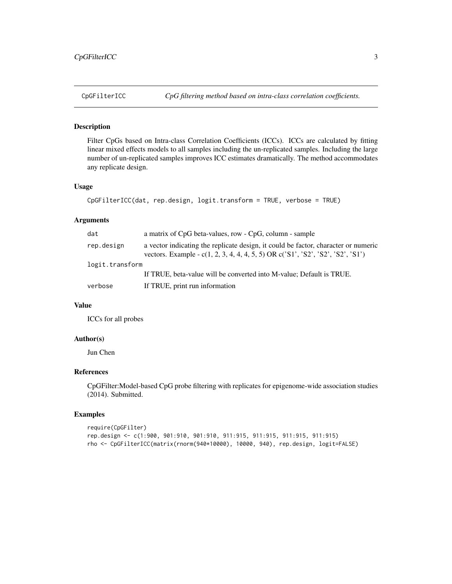#### <span id="page-2-0"></span>Description

Filter CpGs based on Intra-class Correlation Coefficients (ICCs). ICCs are calculated by fitting linear mixed effects models to all samples including the un-replicated samples. Including the large number of un-replicated samples improves ICC estimates dramatically. The method accommodates any replicate design.

#### Usage

```
CpGFilterICC(dat, rep.design, logit.transform = TRUE, verbose = TRUE)
```
#### Arguments

| dat             | a matrix of CpG beta-values, row - CpG, column - sample                                                                                                               |
|-----------------|-----------------------------------------------------------------------------------------------------------------------------------------------------------------------|
| rep.design      | a vector indicating the replicate design, it could be factor, character or numeric<br>vectors. Example - c(1, 2, 3, 4, 4, 4, 5, 5) OR c('S1', 'S2', 'S2', 'S2', 'S1') |
| logit.transform |                                                                                                                                                                       |
|                 | If TRUE, beta-value will be converted into M-value; Default is TRUE.                                                                                                  |
| verbose         | If TRUE, print run information                                                                                                                                        |

#### Value

ICCs for all probes

#### Author(s)

Jun Chen

#### References

CpGFilter:Model-based CpG probe filtering with replicates for epigenome-wide association studies (2014). Submitted.

#### Examples

```
require(CpGFilter)
rep.design <- c(1:900, 901:910, 901:910, 911:915, 911:915, 911:915, 911:915)
rho <- CpGFilterICC(matrix(rnorm(940*10000), 10000, 940), rep.design, logit=FALSE)
```